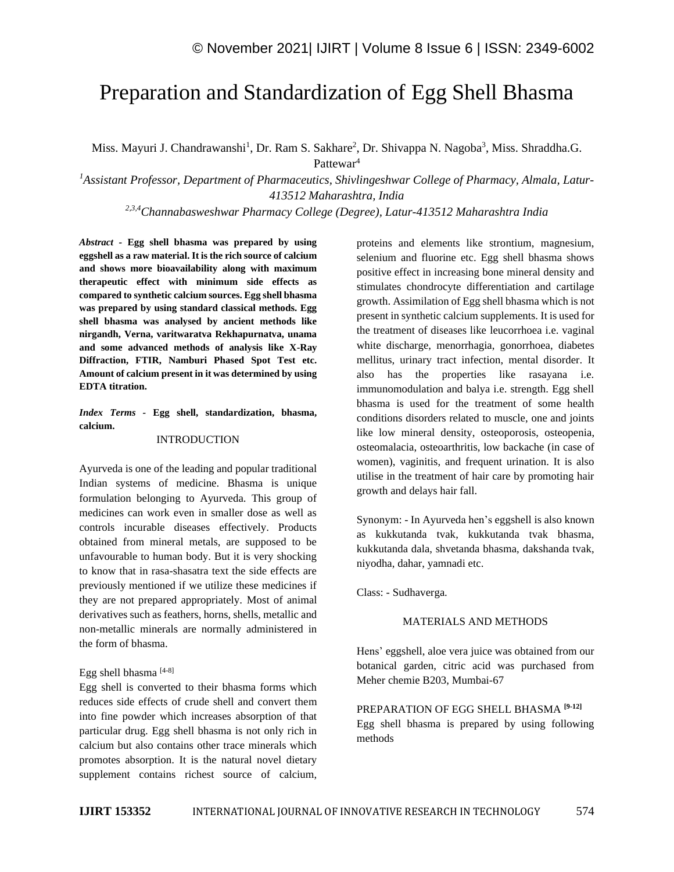# Preparation and Standardization of Egg Shell Bhasma

Miss. Mayuri J. Chandrawanshi<sup>1</sup>, Dr. Ram S. Sakhare<sup>2</sup>, Dr. Shivappa N. Nagoba<sup>3</sup>, Miss. Shraddha.G. Pattewar<sup>4</sup>

*<sup>1</sup>Assistant Professor, Department of Pharmaceutics, Shivlingeshwar College of Pharmacy, Almala, Latur-413512 Maharashtra, India*

*2,3,4Channabasweshwar Pharmacy College (Degree), Latur-413512 Maharashtra India*

*Abstract -* **Egg shell bhasma was prepared by using eggshell as a raw material. It is the rich source of calcium and shows more bioavailability along with maximum therapeutic effect with minimum side effects as compared to synthetic calcium sources. Egg shell bhasma was prepared by using standard classical methods. Egg shell bhasma was analysed by ancient methods like nirgandh, Verna, varitwaratva Rekhapurnatva, unama and some advanced methods of analysis like X-Ray Diffraction, FTIR, Namburi Phased Spot Test etc. Amount of calcium present in it was determined by using EDTA titration.**

*Index Terms -* **Egg shell, standardization, bhasma, calcium.**

## **INTRODUCTION**

Ayurveda is one of the leading and popular traditional Indian systems of medicine. Bhasma is unique formulation belonging to Ayurveda. This group of medicines can work even in smaller dose as well as controls incurable diseases effectively. Products obtained from mineral metals, are supposed to be unfavourable to human body. But it is very shocking to know that in rasa-shasatra text the side effects are previously mentioned if we utilize these medicines if they are not prepared appropriately. Most of animal derivatives such as feathers, horns, shells, metallic and non-metallic minerals are normally administered in the form of bhasma.

## Egg shell bhasma [4-8]

Egg shell is converted to their bhasma forms which reduces side effects of crude shell and convert them into fine powder which increases absorption of that particular drug. Egg shell bhasma is not only rich in calcium but also contains other trace minerals which promotes absorption. It is the natural novel dietary supplement contains richest source of calcium,

proteins and elements like strontium, magnesium, selenium and fluorine etc. Egg shell bhasma shows positive effect in increasing bone mineral density and stimulates chondrocyte differentiation and cartilage growth. Assimilation of Egg shell bhasma which is not present in synthetic calcium supplements. It is used for the treatment of diseases like leucorrhoea i.e. vaginal white discharge, menorrhagia, gonorrhoea, diabetes mellitus, urinary tract infection, mental disorder. It also has the properties like rasayana i.e. immunomodulation and balya i.e. strength. Egg shell bhasma is used for the treatment of some health conditions disorders related to muscle, one and joints like low mineral density, osteoporosis, osteopenia, osteomalacia, osteoarthritis, low backache (in case of women), vaginitis, and frequent urination. It is also utilise in the treatment of hair care by promoting hair growth and delays hair fall.

Synonym: - In Ayurveda hen's eggshell is also known as kukkutanda tvak, kukkutanda tvak bhasma, kukkutanda dala, shvetanda bhasma, dakshanda tvak, niyodha, dahar, yamnadi etc.

Class: - Sudhaverga.

#### MATERIALS AND METHODS

Hens' eggshell, aloe vera juice was obtained from our botanical garden, citric acid was purchased from Meher chemie B203, Mumbai-67

PREPARATION OF EGG SHELL BHASMA **[9-12]** Egg shell bhasma is prepared by using following methods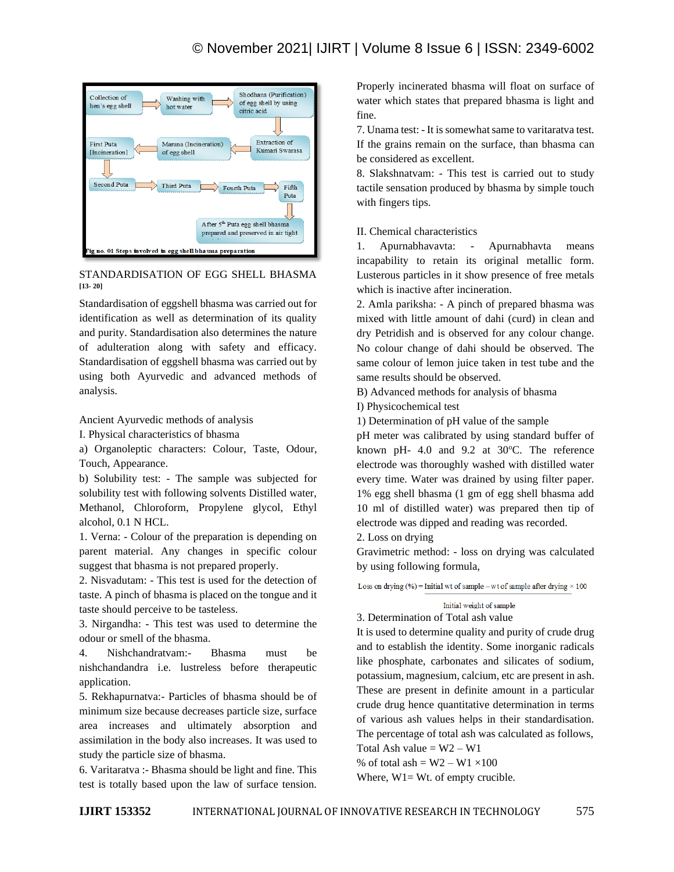

## STANDARDISATION OF EGG SHELL BHASMA **[13- 20]**

Standardisation of eggshell bhasma was carried out for identification as well as determination of its quality and purity. Standardisation also determines the nature of adulteration along with safety and efficacy. Standardisation of eggshell bhasma was carried out by using both Ayurvedic and advanced methods of analysis.

Ancient Ayurvedic methods of analysis

I. Physical characteristics of bhasma

a) Organoleptic characters: Colour, Taste, Odour, Touch, Appearance.

b) Solubility test: - The sample was subjected for solubility test with following solvents Distilled water, Methanol, Chloroform, Propylene glycol, Ethyl alcohol, 0.1 N HCL.

1. Verna: - Colour of the preparation is depending on parent material. Any changes in specific colour suggest that bhasma is not prepared properly.

2. Nisvadutam: - This test is used for the detection of taste. A pinch of bhasma is placed on the tongue and it taste should perceive to be tasteless.

3. Nirgandha: - This test was used to determine the odour or smell of the bhasma.

4. Nishchandratvam:- Bhasma must be nishchandandra i.e. lustreless before therapeutic application.

5. Rekhapurnatva:- Particles of bhasma should be of minimum size because decreases particle size, surface area increases and ultimately absorption and assimilation in the body also increases. It was used to study the particle size of bhasma.

6. Varitaratva :- Bhasma should be light and fine. This test is totally based upon the law of surface tension.

Properly incinerated bhasma will float on surface of water which states that prepared bhasma is light and fine.

7. Unama test: - It is somewhat same to varitaratva test. If the grains remain on the surface, than bhasma can be considered as excellent.

8. Slakshnatvam: - This test is carried out to study tactile sensation produced by bhasma by simple touch with fingers tips.

II. Chemical characteristics

1. Apurnabhavavta: - Apurnabhavta means incapability to retain its original metallic form. Lusterous particles in it show presence of free metals which is inactive after incineration.

2. Amla pariksha: - A pinch of prepared bhasma was mixed with little amount of dahi (curd) in clean and dry Petridish and is observed for any colour change. No colour change of dahi should be observed. The same colour of lemon juice taken in test tube and the same results should be observed.

B) Advanced methods for analysis of bhasma

I) Physicochemical test

1) Determination of pH value of the sample

pH meter was calibrated by using standard buffer of known pH- 4.0 and 9.2 at  $30^{\circ}$ C. The reference electrode was thoroughly washed with distilled water every time. Water was drained by using filter paper. 1% egg shell bhasma (1 gm of egg shell bhasma add 10 ml of distilled water) was prepared then tip of electrode was dipped and reading was recorded.

2. Loss on drying

Gravimetric method: - loss on drying was calculated by using following formula,

Loss on drying  $%$  = Initial wt of sample – wt of sample after drying  $\times$  100

## Initial weight of sample

3. Determination of Total ash value

It is used to determine quality and purity of crude drug and to establish the identity. Some inorganic radicals like phosphate, carbonates and silicates of sodium, potassium, magnesium, calcium, etc are present in ash. These are present in definite amount in a particular crude drug hence quantitative determination in terms of various ash values helps in their standardisation. The percentage of total ash was calculated as follows, Total Ash value =  $W2 - W1$ 

% of total ash =  $W2 - W1 \times 100$ 

Where,  $W1 = Wt$ . of empty crucible.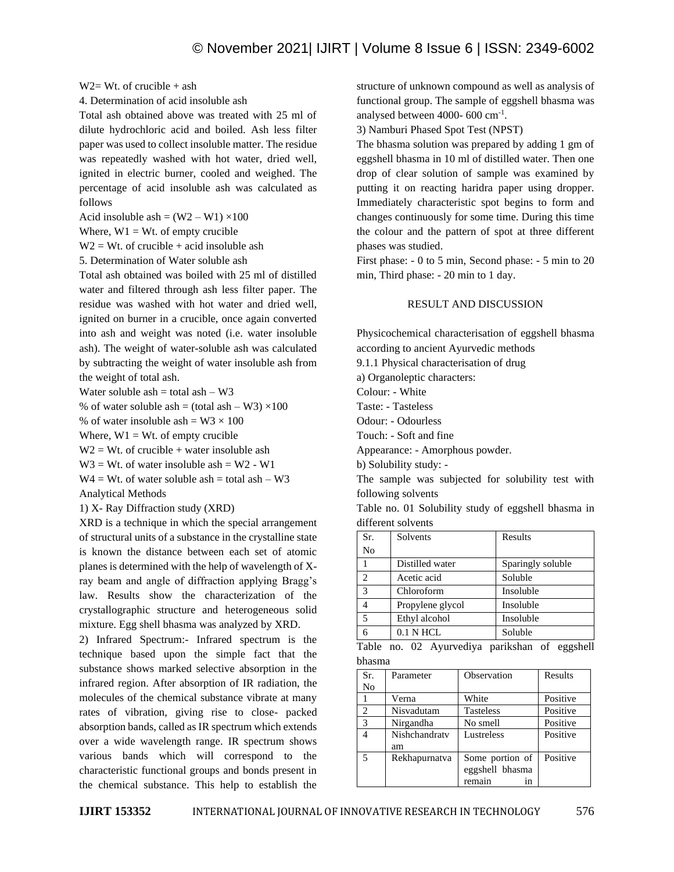#### $W2 = Wt$  of crucible + ash

4. Determination of acid insoluble ash

Total ash obtained above was treated with 25 ml of dilute hydrochloric acid and boiled. Ash less filter paper was used to collect insoluble matter. The residue was repeatedly washed with hot water, dried well, ignited in electric burner, cooled and weighed. The percentage of acid insoluble ash was calculated as follows

Acid insoluble ash =  $(W2 - W1) \times 100$ 

Where,  $W1 = Wt$ . of empty crucible

 $W2 = Wt$ . of crucible + acid insoluble ash

5. Determination of Water soluble ash

Total ash obtained was boiled with 25 ml of distilled water and filtered through ash less filter paper. The residue was washed with hot water and dried well, ignited on burner in a crucible, once again converted into ash and weight was noted (i.e. water insoluble ash). The weight of water-soluble ash was calculated by subtracting the weight of water insoluble ash from the weight of total ash.

Water soluble ash  $=$  total ash  $-$  W3

% of water soluble ash = (total ash – W3)  $\times$ 100

% of water insoluble ash =  $W3 \times 100$ 

Where,  $W1 = Wt$ . of empty crucible

 $W2 = Wt$ . of crucible + water insoluble ash

 $W3 = Wt$ . of water insoluble ash = W2 - W1

 $W4 = Wt$ . of water soluble ash = total ash - W3 Analytical Methods

1) X- Ray Diffraction study (XRD)

XRD is a technique in which the special arrangement of structural units of a substance in the crystalline state is known the distance between each set of atomic planes is determined with the help of wavelength of Xray beam and angle of diffraction applying Bragg's law. Results show the characterization of the crystallographic structure and heterogeneous solid mixture. Egg shell bhasma was analyzed by XRD.

2) Infrared Spectrum:- Infrared spectrum is the technique based upon the simple fact that the substance shows marked selective absorption in the infrared region. After absorption of IR radiation, the molecules of the chemical substance vibrate at many rates of vibration, giving rise to close- packed absorption bands, called as IR spectrum which extends over a wide wavelength range. IR spectrum shows various bands which will correspond to the characteristic functional groups and bonds present in the chemical substance. This help to establish the

structure of unknown compound as well as analysis of functional group. The sample of eggshell bhasma was analysed between 4000- 600 cm-1 .

3) Namburi Phased Spot Test (NPST)

The bhasma solution was prepared by adding 1 gm of eggshell bhasma in 10 ml of distilled water. Then one drop of clear solution of sample was examined by putting it on reacting haridra paper using dropper. Immediately characteristic spot begins to form and changes continuously for some time. During this time the colour and the pattern of spot at three different phases was studied.

First phase: - 0 to 5 min, Second phase: - 5 min to 20 min, Third phase: - 20 min to 1 day.

#### RESULT AND DISCUSSION

Physicochemical characterisation of eggshell bhasma according to ancient Ayurvedic methods 9.1.1 Physical characterisation of drug a) Organoleptic characters:

Colour: - White

Taste: - Tasteless

Odour: - Odourless

Touch: - Soft and fine

Appearance: - Amorphous powder.

b) Solubility study: -

The sample was subjected for solubility test with following solvents

Table no. 01 Solubility study of eggshell bhasma in different solvents

| Sr.            | Solvents         | Results           |
|----------------|------------------|-------------------|
| N <sub>0</sub> |                  |                   |
|                | Distilled water  | Sparingly soluble |
| $\overline{c}$ | Acetic acid      | Soluble           |
| 3              | Chloroform       | Insoluble         |
|                | Propylene glycol | Insoluble         |
| 5              | Ethyl alcohol    | Insoluble         |
|                | $0.1$ N HCL      | Soluble           |

|        |  | Table no. 02 Ayurvediya parikshan of eggshell |  |  |
|--------|--|-----------------------------------------------|--|--|
| bhasma |  |                                               |  |  |

| Sr.<br>No      | Parameter           | Observation                                        | Results  |
|----------------|---------------------|----------------------------------------------------|----------|
|                | Verna               | White                                              | Positive |
| $\overline{c}$ | Nisvadutam          | <b>Tasteless</b>                                   | Positive |
| 3              | Nirgandha           | No smell                                           | Positive |
| 4              | Nishchandraty<br>am | Lustreless                                         | Positive |
| 5              | Rekhapurnatva       | Some portion of<br>eggshell bhasma<br>remain<br>1n | Positive |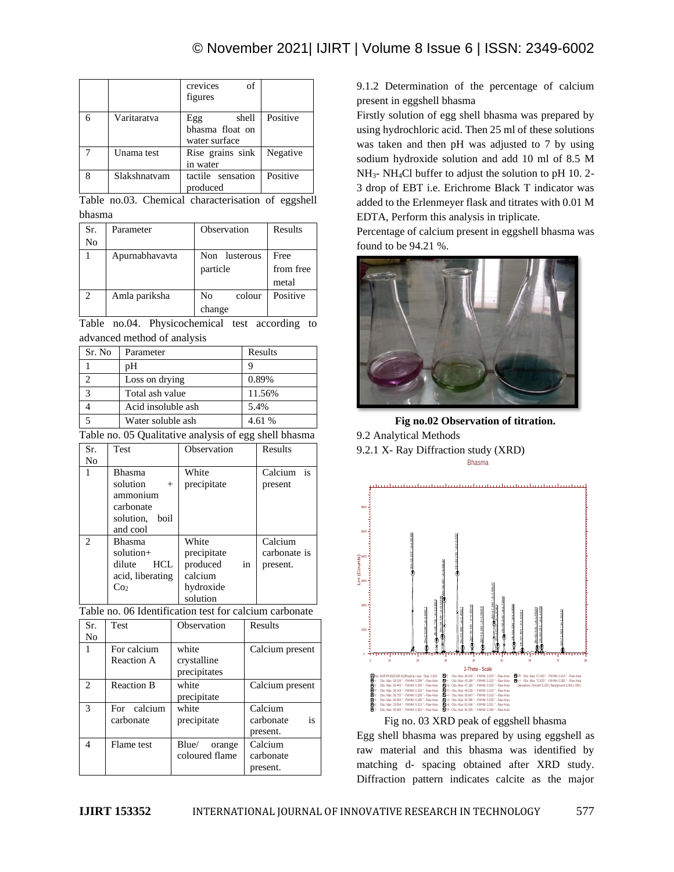|   |              | of<br>crevices<br>figures                        |          |
|---|--------------|--------------------------------------------------|----------|
|   | Varitaratva  | shell<br>Egg<br>bhasma float on<br>water surface | Positive |
|   | Unama test   | Rise grains sink<br>in water                     | Negative |
| 8 | Slakshnatvam | tactile sensation<br>produced                    | Positive |

Table no.03. Chemical characterisation of eggshell bhasma

| Sr.            | Parameter      | Observation   | Results   |
|----------------|----------------|---------------|-----------|
| No             |                |               |           |
|                | Apurnabhavavta | Non lusterous | Free      |
|                |                | particle      | from free |
|                |                |               | metal     |
| $\mathfrak{D}$ | Amla pariksha  | No<br>colour  | Positive  |
|                |                | change        |           |

Table no.04. Physicochemical test according to advanced method of analysis

| Sr. No | Parameter          | Results |
|--------|--------------------|---------|
|        | pΗ                 |         |
|        | Loss on drying     | 0.89%   |
| 3      | Total ash value    | 11.56%  |
|        | Acid insoluble ash | 5.4%    |
|        | Water soluble ash  | 4.61 %  |

Table no. 05 Qualitative analysis of egg shell bhasma

| Sr. | <b>Test</b>                                                                  | Observation                                                                | Results                             |
|-----|------------------------------------------------------------------------------|----------------------------------------------------------------------------|-------------------------------------|
| No  |                                                                              |                                                                            |                                     |
| 1   | <b>Bhasma</b><br>solution                                                    | White<br>precipitate                                                       | is<br>Calcium                       |
|     | $^{+}$<br>ammonium<br>carbonate<br>solution,<br>boil<br>and cool             |                                                                            | present                             |
| 2   | Bhasma<br>solution+<br>HCL.<br>dilute<br>acid, liberating<br>Co <sub>2</sub> | White<br>precipitate<br>produced<br>in<br>calcium<br>hydroxide<br>solution | Calcium<br>carbonate is<br>present. |

Table no. 06 Identification test for calcium carbonate

| Sr.                         | <b>Test</b>               | Observation                          | Results                                |
|-----------------------------|---------------------------|--------------------------------------|----------------------------------------|
| No                          |                           |                                      |                                        |
| 1                           | For calcium<br>Reaction A | white<br>crystalline<br>precipitates | Calcium present                        |
| $\mathcal{D}_{\mathcal{A}}$ | <b>Reaction B</b>         | white<br>precipitate                 | Calcium present                        |
| 3                           | For calcium<br>carbonate  | white<br>precipitate                 | Calcium<br>is<br>carbonate<br>present. |
| 4                           | Flame test                | Blue/<br>orange<br>coloured flame    | Calcium<br>carbonate<br>present.       |

9.1.2 Determination of the percentage of calcium present in eggshell bhasma

Firstly solution of egg shell bhasma was prepared by using hydrochloric acid. Then 25 ml of these solutions was taken and then pH was adjusted to 7 by using sodium hydroxide solution and add 10 ml of 8.5 M NH3- NH4Cl buffer to adjust the solution to pH 10. 2- 3 drop of EBT i.e. Erichrome Black T indicator was added to the Erlenmeyer flask and titrates with 0.01 M EDTA, Perform this analysis in triplicate.

Percentage of calcium present in eggshell bhasma was found to be 94.21 %.



**Fig no.02 Observation of titration.**

9.2 Analytical Methods

9.2.1 X- Ray Diffraction study (XRD) Bhasma



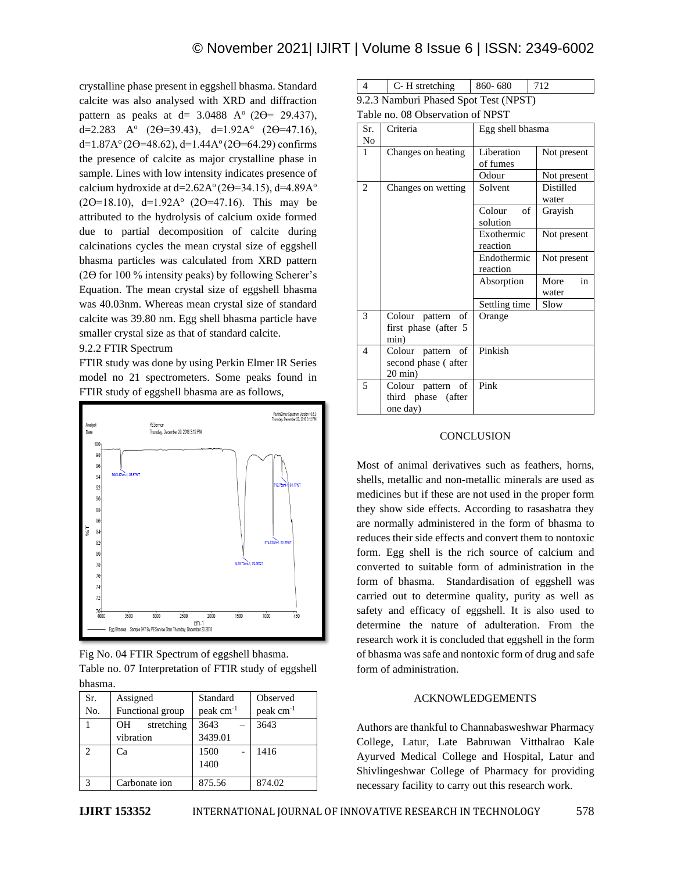crystalline phase present in eggshell bhasma. Standard calcite was also analysed with XRD and diffraction pattern as peaks at d=  $3.0488$  A<sup>o</sup> (2 $\Theta$ = 29.437), d=2.283 A<sup>o</sup> (2 $\Theta$ =39.43), d=1.92A<sup>o</sup> (2 $\Theta$ =47.16), d=1.87A $^{\circ}$ (2 $\Theta$ =48.62), d=1.44A $^{\circ}$ (2 $\Theta$ =64.29) confirms the presence of calcite as major crystalline phase in sample. Lines with low intensity indicates presence of calcium hydroxide at d= $2.62A^{\circ}(2\Theta=34.15)$ , d= $4.89A^{\circ}$  $(2\Theta = 18.10)$ , d=1.92A<sup>o</sup> (2 $\Theta = 47.16$ ). This may be attributed to the hydrolysis of calcium oxide formed due to partial decomposition of calcite during calcinations cycles the mean crystal size of eggshell bhasma particles was calculated from XRD pattern (2 $\Theta$  for 100 % intensity peaks) by following Scherer's Equation. The mean crystal size of eggshell bhasma was 40.03nm. Whereas mean crystal size of standard calcite was 39.80 nm. Egg shell bhasma particle have smaller crystal size as that of standard calcite.

## 9.2.2 FTIR Spectrum

FTIR study was done by using Perkin Elmer IR Series model no 21 spectrometers. Some peaks found in FTIR study of eggshell bhasma are as follows,



Fig No. 04 FTIR Spectrum of eggshell bhasma. Table no. 07 Interpretation of FTIR study of eggshell bhasma.

| Sr.           | Assigned         | Standard              | Observed              |
|---------------|------------------|-----------------------|-----------------------|
| No.           | Functional group | peak cm <sup>-1</sup> | peak cm <sup>-1</sup> |
|               | stretching<br>OH | 3643                  | 3643                  |
|               | vibration        | 3439.01               |                       |
| C             | Cа               | 1500                  | 1416                  |
|               |                  | 1400                  |                       |
| $\mathcal{R}$ | Carbonate ion    | 875.56                | 874.02                |

| C-H stretching                        | $860 - 680$ | 712 |
|---------------------------------------|-------------|-----|
| 9.2.3 Namburi Phased Spot Test (NPST) |             |     |

Table no. 08 Observation of NPST

| Sr.<br>No      | Criteria                                                       | Egg shell bhasma         |                     |
|----------------|----------------------------------------------------------------|--------------------------|---------------------|
| 1              | Changes on heating                                             | Liberation<br>of fumes   | Not present         |
|                |                                                                | Odour                    | Not present         |
| $\overline{c}$ | Changes on wetting                                             | Solvent                  | Distilled<br>water  |
|                |                                                                | of<br>Colour<br>solution | Grayish             |
|                |                                                                | Exothermic<br>reaction   | Not present         |
|                |                                                                | Endothermic<br>reaction  | Not present         |
|                |                                                                | Absorption               | in<br>More<br>water |
|                |                                                                | Settling time            | Slow                |
| 3              | Colour pattern of<br>first phase (after 5<br>min)              | Orange                   |                     |
| 4              | Colour pattern of<br>second phase (after<br>$20 \text{ min}$ ) | Pinkish                  |                     |
| 5              | Colour pattern of<br>third phase (after<br>one day)            | Pink                     |                     |

## **CONCLUSION**

Most of animal derivatives such as feathers, horns, shells, metallic and non-metallic minerals are used as medicines but if these are not used in the proper form they show side effects. According to rasashatra they are normally administered in the form of bhasma to reduces their side effects and convert them to nontoxic form. Egg shell is the rich source of calcium and converted to suitable form of administration in the form of bhasma. Standardisation of eggshell was carried out to determine quality, purity as well as safety and efficacy of eggshell. It is also used to determine the nature of adulteration. From the research work it is concluded that eggshell in the form of bhasma was safe and nontoxic form of drug and safe form of administration.

## ACKNOWLEDGEMENTS

Authors are thankful to Channabasweshwar Pharmacy College, Latur, Late Babruwan Vitthalrao Kale Ayurved Medical College and Hospital, Latur and Shivlingeshwar College of Pharmacy for providing necessary facility to carry out this research work.